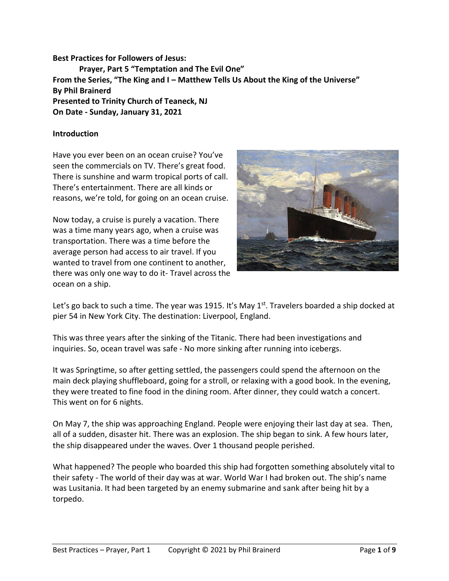**Best Practices for Followers of Jesus: Prayer, Part 5 "Temptation and The Evil One" From the Series, "The King and I – Matthew Tells Us About the King of the Universe" By Phil Brainerd Presented to Trinity Church of Teaneck, NJ On Date - Sunday, January 31, 2021**

#### **Introduction**

Have you ever been on an ocean cruise? You've seen the commercials on TV. There's great food. There is sunshine and warm tropical ports of call. There's entertainment. There are all kinds or reasons, we're told, for going on an ocean cruise.

Now today, a cruise is purely a vacation. There was a time many years ago, when a cruise was transportation. There was a time before the average person had access to air travel. If you wanted to travel from one continent to another, there was only one way to do it- Travel across the ocean on a ship.



Let's go back to such a time. The year was 1915. It's May 1<sup>st</sup>. Travelers boarded a ship docked at pier 54 in New York City. The destination: Liverpool, England.

This was three years after the sinking of the Titanic. There had been investigations and inquiries. So, ocean travel was safe - No more sinking after running into icebergs.

It was Springtime, so after getting settled, the passengers could spend the afternoon on the main deck playing shuffleboard, going for a stroll, or relaxing with a good book. In the evening, they were treated to fine food in the dining room. After dinner, they could watch a concert. This went on for 6 nights.

On May 7, the ship was approaching England. People were enjoying their last day at sea. Then, all of a sudden, disaster hit. There was an explosion. The ship began to sink. A few hours later, the ship disappeared under the waves. Over 1 thousand people perished.

What happened? The people who boarded this ship had forgotten something absolutely vital to their safety - The world of their day was at war. World War I had broken out. The ship's name was Lusitania. It had been targeted by an enemy submarine and sank after being hit by a torpedo.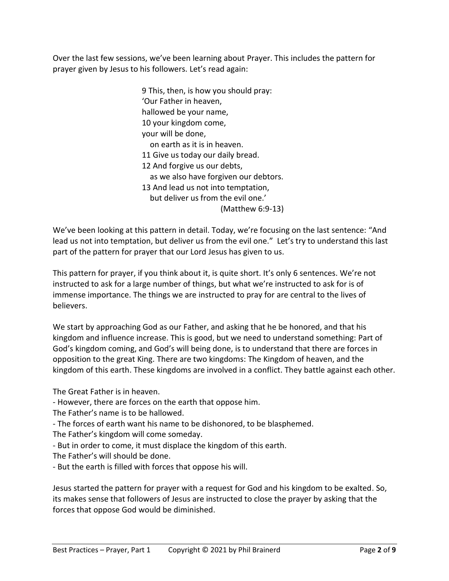Over the last few sessions, we've been learning about Prayer. This includes the pattern for prayer given by Jesus to his followers. Let's read again:

> 9 This, then, is how you should pray: 'Our Father in heaven, hallowed be your name, 10 your kingdom come, your will be done, on earth as it is in heaven. 11 Give us today our daily bread. 12 And forgive us our debts, as we also have forgiven our debtors. 13 And lead us not into temptation, but deliver us from the evil one.' (Matthew 6:9-13)

We've been looking at this pattern in detail. Today, we're focusing on the last sentence: "And lead us not into temptation, but deliver us from the evil one." Let's try to understand this last part of the pattern for prayer that our Lord Jesus has given to us.

This pattern for prayer, if you think about it, is quite short. It's only 6 sentences. We're not instructed to ask for a large number of things, but what we're instructed to ask for is of immense importance. The things we are instructed to pray for are central to the lives of believers.

We start by approaching God as our Father, and asking that he be honored, and that his kingdom and influence increase. This is good, but we need to understand something: Part of God's kingdom coming, and God's will being done, is to understand that there are forces in opposition to the great King. There are two kingdoms: The Kingdom of heaven, and the kingdom of this earth. These kingdoms are involved in a conflict. They battle against each other.

The Great Father is in heaven.

- However, there are forces on the earth that oppose him.
- The Father's name is to be hallowed.
- The forces of earth want his name to be dishonored, to be blasphemed.
- The Father's kingdom will come someday.
- But in order to come, it must displace the kingdom of this earth.
- The Father's will should be done.
- But the earth is filled with forces that oppose his will.

Jesus started the pattern for prayer with a request for God and his kingdom to be exalted. So, its makes sense that followers of Jesus are instructed to close the prayer by asking that the forces that oppose God would be diminished.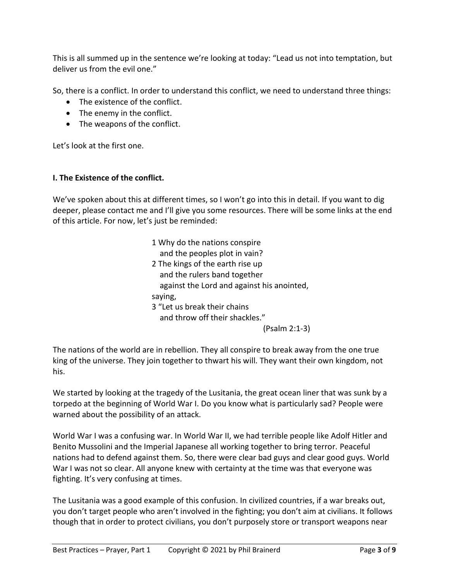This is all summed up in the sentence we're looking at today: "Lead us not into temptation, but deliver us from the evil one."

So, there is a conflict. In order to understand this conflict, we need to understand three things:

- The existence of the conflict.
- The enemy in the conflict.
- The weapons of the conflict.

Let's look at the first one.

# **I. The Existence of the conflict.**

We've spoken about this at different times, so I won't go into this in detail. If you want to dig deeper, please contact me and I'll give you some resources. There will be some links at the end of this article. For now, let's just be reminded:

| 1 Why do the nations conspire              |
|--------------------------------------------|
| and the peoples plot in vain?              |
| 2 The kings of the earth rise up           |
| and the rulers band together               |
| against the Lord and against his anointed, |
| saying,                                    |
| 3 "Let us break their chains               |
| and throw off their shackles."             |
|                                            |

(Psalm 2:1-3)

The nations of the world are in rebellion. They all conspire to break away from the one true king of the universe. They join together to thwart his will. They want their own kingdom, not his.

We started by looking at the tragedy of the Lusitania, the great ocean liner that was sunk by a torpedo at the beginning of World War I. Do you know what is particularly sad? People were warned about the possibility of an attack.

World War I was a confusing war. In World War II, we had terrible people like Adolf Hitler and Benito Mussolini and the Imperial Japanese all working together to bring terror. Peaceful nations had to defend against them. So, there were clear bad guys and clear good guys. World War I was not so clear. All anyone knew with certainty at the time was that everyone was fighting. It's very confusing at times.

The Lusitania was a good example of this confusion. In civilized countries, if a war breaks out, you don't target people who aren't involved in the fighting; you don't aim at civilians. It follows though that in order to protect civilians, you don't purposely store or transport weapons near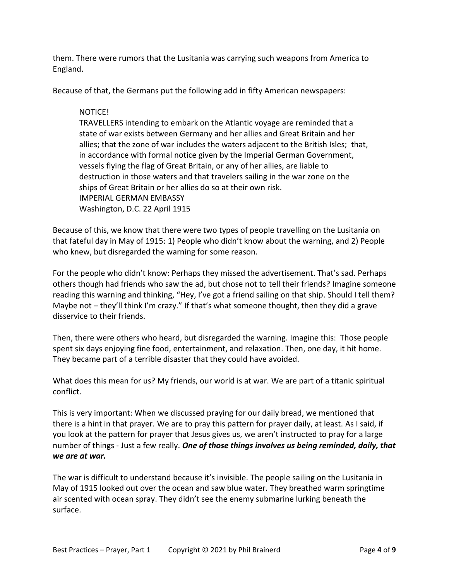them. There were rumors that the Lusitania was carrying such weapons from America to England.

Because of that, the Germans put the following add in fifty American newspapers:

## NOTICE!

TRAVELLERS intending to embark on the Atlantic voyage are reminded that a state of war exists between Germany and her allies and Great Britain and her allies; that the zone of war includes the waters adjacent to the British Isles; that, in accordance with formal notice given by the Imperial German Government, vessels flying the flag of Great Britain, or any of her allies, are liable to destruction in those waters and that travelers sailing in the war zone on the ships of Great Britain or her allies do so at their own risk. IMPERIAL GERMAN EMBASSY Washington, D.C. 22 April 1915

Because of this, we know that there were two types of people travelling on the Lusitania on that fateful day in May of 1915: 1) People who didn't know about the warning, and 2) People who knew, but disregarded the warning for some reason.

For the people who didn't know: Perhaps they missed the advertisement. That's sad. Perhaps others though had friends who saw the ad, but chose not to tell their friends? Imagine someone reading this warning and thinking, "Hey, I've got a friend sailing on that ship. Should I tell them? Maybe not – they'll think I'm crazy." If that's what someone thought, then they did a grave disservice to their friends.

Then, there were others who heard, but disregarded the warning. Imagine this: Those people spent six days enjoying fine food, entertainment, and relaxation. Then, one day, it hit home. They became part of a terrible disaster that they could have avoided.

What does this mean for us? My friends, our world is at war. We are part of a titanic spiritual conflict.

This is very important: When we discussed praying for our daily bread, we mentioned that there is a hint in that prayer. We are to pray this pattern for prayer daily, at least. As I said, if you look at the pattern for prayer that Jesus gives us, we aren't instructed to pray for a large number of things - Just a few really. *One of those things involves us being reminded, daily, that we are at war.*

The war is difficult to understand because it's invisible. The people sailing on the Lusitania in May of 1915 looked out over the ocean and saw blue water. They breathed warm springtime air scented with ocean spray. They didn't see the enemy submarine lurking beneath the surface.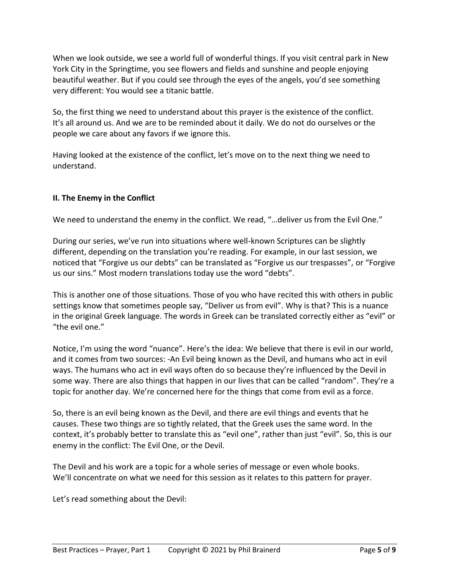When we look outside, we see a world full of wonderful things. If you visit central park in New York City in the Springtime, you see flowers and fields and sunshine and people enjoying beautiful weather. But if you could see through the eyes of the angels, you'd see something very different: You would see a titanic battle.

So, the first thing we need to understand about this prayer is the existence of the conflict. It's all around us. And we are to be reminded about it daily. We do not do ourselves or the people we care about any favors if we ignore this.

Having looked at the existence of the conflict, let's move on to the next thing we need to understand.

# **II. The Enemy in the Conflict**

We need to understand the enemy in the conflict. We read, "…deliver us from the Evil One."

During our series, we've run into situations where well-known Scriptures can be slightly different, depending on the translation you're reading. For example, in our last session, we noticed that "Forgive us our debts" can be translated as "Forgive us our trespasses", or "Forgive us our sins." Most modern translations today use the word "debts".

This is another one of those situations. Those of you who have recited this with others in public settings know that sometimes people say, "Deliver us from evil". Why is that? This is a nuance in the original Greek language. The words in Greek can be translated correctly either as "evil" or "the evil one."

Notice, I'm using the word "nuance". Here's the idea: We believe that there is evil in our world, and it comes from two sources: -An Evil being known as the Devil, and humans who act in evil ways. The humans who act in evil ways often do so because they're influenced by the Devil in some way. There are also things that happen in our lives that can be called "random". They're a topic for another day. We're concerned here for the things that come from evil as a force.

So, there is an evil being known as the Devil, and there are evil things and events that he causes. These two things are so tightly related, that the Greek uses the same word. In the context, it's probably better to translate this as "evil one", rather than just "evil". So, this is our enemy in the conflict: The Evil One, or the Devil.

The Devil and his work are a topic for a whole series of message or even whole books. We'll concentrate on what we need for this session as it relates to this pattern for prayer.

Let's read something about the Devil: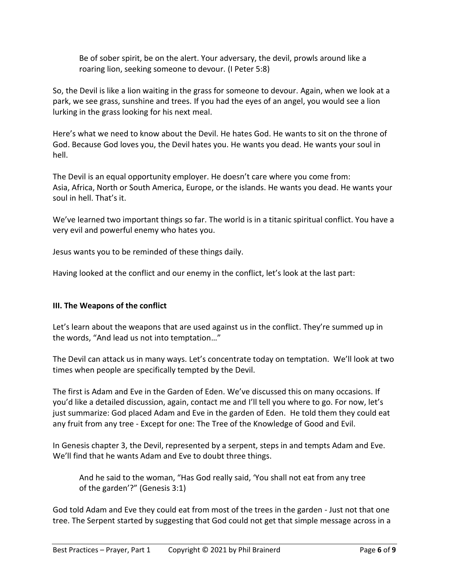Be of sober spirit, be on the alert. Your adversary, the devil, prowls around like a roaring lion, seeking someone to devour. (I Peter 5:8)

So, the Devil is like a lion waiting in the grass for someone to devour. Again, when we look at a park, we see grass, sunshine and trees. If you had the eyes of an angel, you would see a lion lurking in the grass looking for his next meal.

Here's what we need to know about the Devil. He hates God. He wants to sit on the throne of God. Because God loves you, the Devil hates you. He wants you dead. He wants your soul in hell.

The Devil is an equal opportunity employer. He doesn't care where you come from: Asia, Africa, North or South America, Europe, or the islands. He wants you dead. He wants your soul in hell. That's it.

We've learned two important things so far. The world is in a titanic spiritual conflict. You have a very evil and powerful enemy who hates you.

Jesus wants you to be reminded of these things daily.

Having looked at the conflict and our enemy in the conflict, let's look at the last part:

### **III. The Weapons of the conflict**

Let's learn about the weapons that are used against us in the conflict. They're summed up in the words, "And lead us not into temptation…"

The Devil can attack us in many ways. Let's concentrate today on temptation. We'll look at two times when people are specifically tempted by the Devil.

The first is Adam and Eve in the Garden of Eden. We've discussed this on many occasions. If you'd like a detailed discussion, again, contact me and I'll tell you where to go. For now, let's just summarize: God placed Adam and Eve in the garden of Eden. He told them they could eat any fruit from any tree - Except for one: The Tree of the Knowledge of Good and Evil.

In Genesis chapter 3, the Devil, represented by a serpent, steps in and tempts Adam and Eve. We'll find that he wants Adam and Eve to doubt three things.

And he said to the woman, "Has God really said, 'You shall not eat from any tree of the garden'?" (Genesis 3:1)

God told Adam and Eve they could eat from most of the trees in the garden - Just not that one tree. The Serpent started by suggesting that God could not get that simple message across in a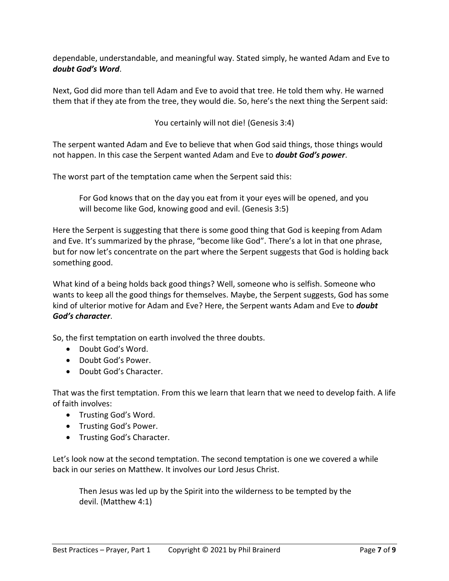dependable, understandable, and meaningful way. Stated simply, he wanted Adam and Eve to *doubt God's Word*.

Next, God did more than tell Adam and Eve to avoid that tree. He told them why. He warned them that if they ate from the tree, they would die. So, here's the next thing the Serpent said:

You certainly will not die! (Genesis 3:4)

The serpent wanted Adam and Eve to believe that when God said things, those things would not happen. In this case the Serpent wanted Adam and Eve to *doubt God's power*.

The worst part of the temptation came when the Serpent said this:

For God knows that on the day you eat from it your eyes will be opened, and you will become like God, knowing good and evil. (Genesis 3:5)

Here the Serpent is suggesting that there is some good thing that God is keeping from Adam and Eve. It's summarized by the phrase, "become like God". There's a lot in that one phrase, but for now let's concentrate on the part where the Serpent suggests that God is holding back something good.

What kind of a being holds back good things? Well, someone who is selfish. Someone who wants to keep all the good things for themselves. Maybe, the Serpent suggests, God has some kind of ulterior motive for Adam and Eve? Here, the Serpent wants Adam and Eve to *doubt God's character*.

So, the first temptation on earth involved the three doubts.

- Doubt God's Word.
- Doubt God's Power.
- Doubt God's Character.

That was the first temptation. From this we learn that learn that we need to develop faith. A life of faith involves:

- Trusting God's Word.
- Trusting God's Power.
- Trusting God's Character.

Let's look now at the second temptation. The second temptation is one we covered a while back in our series on Matthew. It involves our Lord Jesus Christ.

Then Jesus was led up by the Spirit into the wilderness to be tempted by the devil. (Matthew 4:1)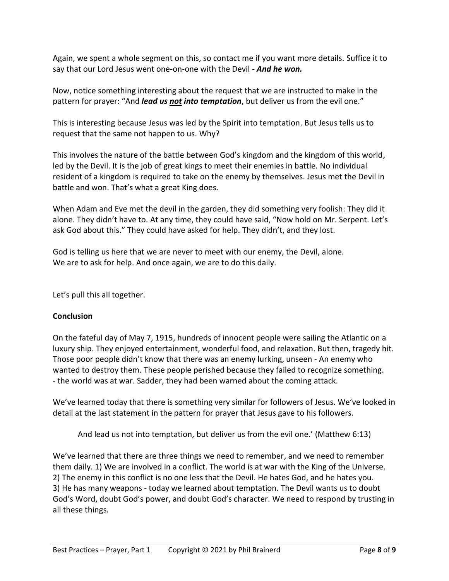Again, we spent a whole segment on this, so contact me if you want more details. Suffice it to say that our Lord Jesus went one-on-one with the Devil *- And he won.*

Now, notice something interesting about the request that we are instructed to make in the pattern for prayer: "And *lead us not into temptation*, but deliver us from the evil one."

This is interesting because Jesus was led by the Spirit into temptation. But Jesus tells us to request that the same not happen to us. Why?

This involves the nature of the battle between God's kingdom and the kingdom of this world, led by the Devil. It is the job of great kings to meet their enemies in battle. No individual resident of a kingdom is required to take on the enemy by themselves. Jesus met the Devil in battle and won. That's what a great King does.

When Adam and Eve met the devil in the garden, they did something very foolish: They did it alone. They didn't have to. At any time, they could have said, "Now hold on Mr. Serpent. Let's ask God about this." They could have asked for help. They didn't, and they lost.

God is telling us here that we are never to meet with our enemy, the Devil, alone. We are to ask for help. And once again, we are to do this daily.

Let's pull this all together.

### **Conclusion**

On the fateful day of May 7, 1915, hundreds of innocent people were sailing the Atlantic on a luxury ship. They enjoyed entertainment, wonderful food, and relaxation. But then, tragedy hit. Those poor people didn't know that there was an enemy lurking, unseen - An enemy who wanted to destroy them. These people perished because they failed to recognize something. - the world was at war. Sadder, they had been warned about the coming attack.

We've learned today that there is something very similar for followers of Jesus. We've looked in detail at the last statement in the pattern for prayer that Jesus gave to his followers.

And lead us not into temptation, but deliver us from the evil one.' (Matthew 6:13)

We've learned that there are three things we need to remember, and we need to remember them daily. 1) We are involved in a conflict. The world is at war with the King of the Universe. 2) The enemy in this conflict is no one less that the Devil. He hates God, and he hates you. 3) He has many weapons - today we learned about temptation. The Devil wants us to doubt God's Word, doubt God's power, and doubt God's character. We need to respond by trusting in all these things.